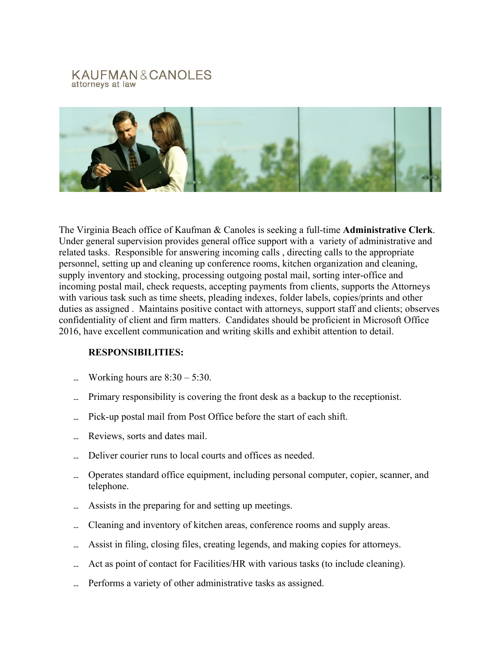## KAUFMAN&CANOLES attorneys at law



The Virginia Beach office of Kaufman & Canoles is seeking a full-time **Administrative Clerk**. Under general supervision provides general office support with a variety of administrative and related tasks. Responsible for answering incoming calls , directing calls to the appropriate personnel, setting up and cleaning up conference rooms, kitchen organization and cleaning, supply inventory and stocking, processing outgoing postal mail, sorting inter-office and incoming postal mail, check requests, accepting payments from clients, supports the Attorneys with various task such as time sheets, pleading indexes, folder labels, copies/prints and other duties as assigned . Maintains positive contact with attorneys, support staff and clients; observes confidentiality of client and firm matters. Candidates should be proficient in Microsoft Office 2016, have excellent communication and writing skills and exhibit attention to detail.

## **RESPONSIBILITIES:**

- Working hours are  $8:30 5:30$ .
- Primary responsibility is covering the front desk as a backup to the receptionist.
- ... Pick-up postal mail from Post Office before the start of each shift.
- Reviews, sorts and dates mail.
- Deliver courier runs to local courts and offices as needed.
- Operates standard office equipment, including personal computer, copier, scanner, and telephone.
- Assists in the preparing for and setting up meetings.
- ... Cleaning and inventory of kitchen areas, conference rooms and supply areas.
- Assist in filing, closing files, creating legends, and making copies for attorneys.
- ... Act as point of contact for Facilities/HR with various tasks (to include cleaning).
- Performs a variety of other administrative tasks as assigned.